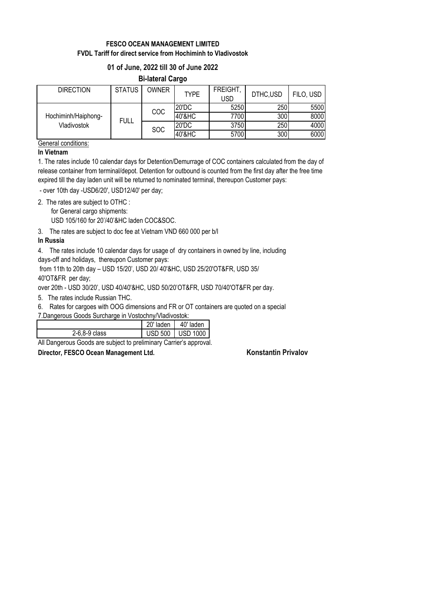# **FESCO OCEAN MANAGEMENT LIMITED FVDL Tariff for direct service from Hochiminh to Vladivostok**

## **01 of June, 2022 till 30 of June 2022**

## **Bi-lateral Cargo**

| <b>DIRECTION</b>                   | <b>STATUS</b> | <b>OWNER</b> | <b>TYPE</b> | <b>FREIGHT</b><br><b>USD</b> | DTHC,USD         | FILO, USD |
|------------------------------------|---------------|--------------|-------------|------------------------------|------------------|-----------|
| Hochiminh/Haiphong-<br>Vladivostok | <b>FULL</b>   | COC          | 20'DC       | 5250                         | 250I             | 5500      |
|                                    |               |              | 40'&HC      | 7700                         | 300 <sup>1</sup> | 8000      |
|                                    |               | <b>SOC</b>   | 20'DC       | 3750                         | 250              | 4000      |
|                                    |               |              | 40'&HC      | 5700                         | 300              | 6000      |

General conditions:

#### **In Vietnam**

1. The rates include 10 calendar days for Detention/Demurrage of COC containers calculated from the day of release container from terminal/depot. Detention for outbound is counted from the first day after the free time expired till the day laden unit will be returned to nominated terminal, thereupon Customer pays:

- over 10th day -USD6/20', USD12/40' per day;

2. The rates are subject to OTHC :

for General cargo shipments:

USD 105/160 for 20'/40'&HC laden COC&SOC.

3. The rates are subject to doc fee at Vietnam VND 660 000 per b/l

## **In Russia**

4. The rates include 10 calendar days for usage of dry containers in owned by line, including days-off and holidays, thereupon Customer pays:

 from 11th to 20th day – USD 15/20', USD 20/ 40'&HC, USD 25/20'OT&FR, USD 35/ 40'OT&FR per day;

over 20th - USD 30/20', USD 40/40'&HC, USD 50/20'OT&FR, USD 70/40'OT&FR per day.

5. The rates include Russian THC.

6. Rates for cargoes with OOG dimensions and FR or OT containers are quoted on a special

| 7. Dangerous Goods Surcharge in Vostochny/Vladivostok: |  |  |
|--------------------------------------------------------|--|--|
|                                                        |  |  |

|                                                                                                                                                                   | 20' laden   40' laden |                  |  |
|-------------------------------------------------------------------------------------------------------------------------------------------------------------------|-----------------------|------------------|--|
| $2-6,8-9$ class                                                                                                                                                   |                       | USD 500 USD 1000 |  |
| All $\blacksquare$ . $\blacksquare$ . $\blacksquare$ . $\blacksquare$ . It is the set of the set of $\blacksquare$ . Also is the set of the set of $\blacksquare$ |                       |                  |  |

All Dangerous Goods are subject to preliminary Carrier's approval.

**Director, FESCO Ocean Management Ltd. Konstantin Privalov**